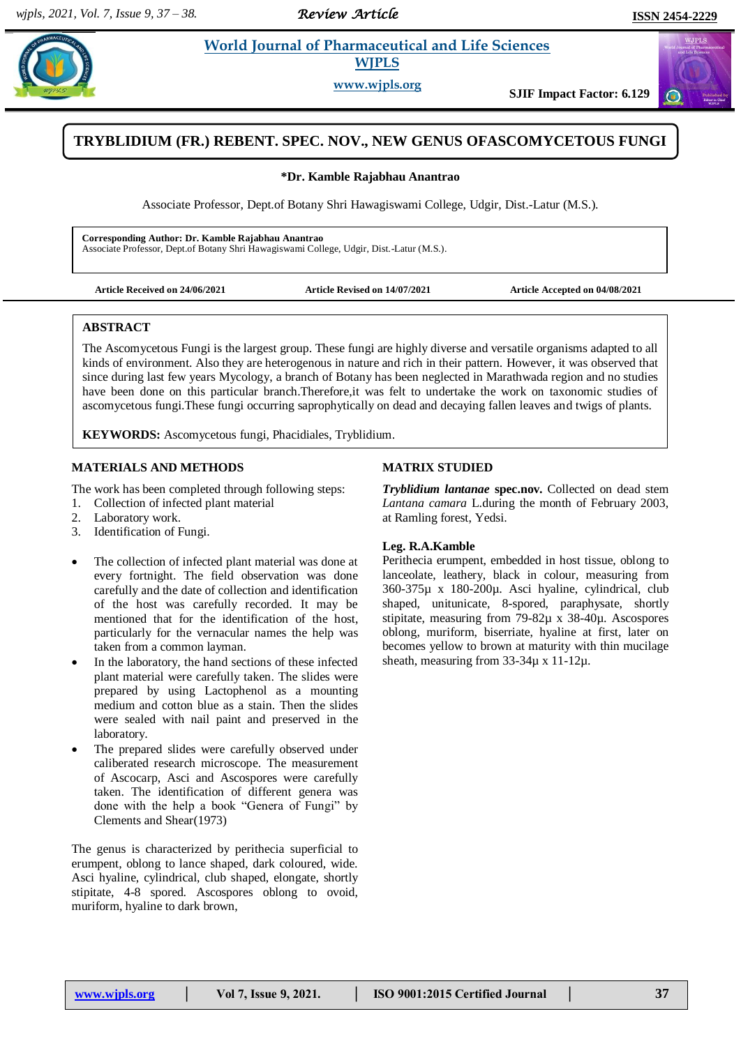# *Review Article*

 $\sigma$ 

## **Kamble 2.1 <b>World Journal of Pharmaceutical and Life Sciences WJPLS**

**www.wjpls.org**

**SJIF Impact Factor: 6.129**

# **TRYBLIDIUM (FR.) REBENT. SPEC. NOV., NEW GENUS OFASCOMYCETOUS FUNGI**

#### **\*Dr. Kamble Rajabhau Anantrao**

Associate Professor, Dept.of Botany Shri Hawagiswami College, Udgir, Dist.-Latur (M.S.).

**Corresponding Author: Dr. Kamble Rajabhau Anantrao** Associate Professor, Dept.of Botany Shri Hawagiswami College, Udgir, Dist.-Latur (M.S.).

**Article Received on 24/06/2021 Article Revised on 14/07/2021 Article Accepted on 04/08/2021**

#### **ABSTRACT**

The Ascomycetous Fungi is the largest group. These fungi are highly diverse and versatile organisms adapted to all kinds of environment. Also they are heterogenous in nature and rich in their pattern. However, it was observed that since during last few years Mycology, a branch of Botany has been neglected in Marathwada region and no studies have been done on this particular branch.Therefore,it was felt to undertake the work on taxonomic studies of ascomycetous fungi.These fungi occurring saprophytically on dead and decaying fallen leaves and twigs of plants.

**KEYWORDS:** Ascomycetous fungi, Phacidiales, Tryblidium.

## **MATERIALS AND METHODS**

The work has been completed through following steps:

- 1. Collection of infected plant material
- 2. Laboratory work.
- 3. Identification of Fungi.
- The collection of infected plant material was done at every fortnight. The field observation was done carefully and the date of collection and identification of the host was carefully recorded. It may be mentioned that for the identification of the host, particularly for the vernacular names the help was taken from a common layman.
- In the laboratory, the hand sections of these infected plant material were carefully taken. The slides were prepared by using Lactophenol as a mounting medium and cotton blue as a stain. Then the slides were sealed with nail paint and preserved in the laboratory.
- The prepared slides were carefully observed under caliberated research microscope. The measurement of Ascocarp, Asci and Ascospores were carefully taken. The identification of different genera was done with the help a book "Genera of Fungi" by Clements and Shear(1973)

The genus is characterized by perithecia superficial to erumpent, oblong to lance shaped, dark coloured, wide. Asci hyaline, cylindrical, club shaped, elongate, shortly stipitate, 4-8 spored. Ascospores oblong to ovoid, muriform, hyaline to dark brown,

## **MATRIX STUDIED**

*Tryblidium lantanae* **spec.nov.** Collected on dead stem *Lantana camara* L.during the month of February 2003, at Ramling forest, Yedsi.

### **Leg. R.A.Kamble**

Perithecia erumpent, embedded in host tissue, oblong to lanceolate, leathery, black in colour, measuring from 360-375µ x 180-200µ. Asci hyaline, cylindrical, club shaped, unitunicate, 8-spored, paraphysate, shortly stipitate, measuring from 79-82µ x 38-40µ. Ascospores oblong, muriform, biserriate, hyaline at first, later on becomes yellow to brown at maturity with thin mucilage sheath, measuring from 33-34 $\mu$  x 11-12 $\mu$ .